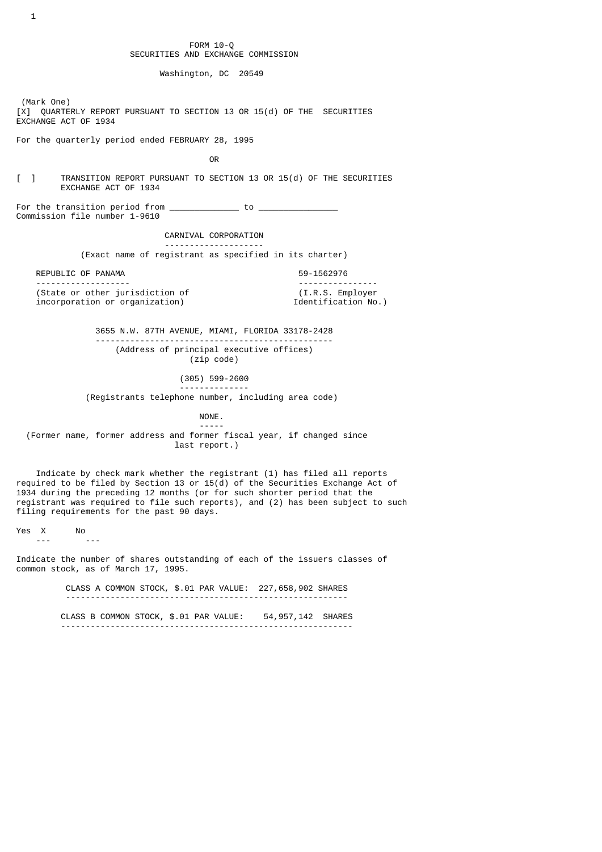FORM 10-Q SECURITIES AND EXCHANGE COMMISSION

Washington, DC 20549

 (Mark One) [X] QUARTERLY REPORT PURSUANT TO SECTION 13 OR 15(d) OF THE SECURITIES EXCHANGE ACT OF 1934

For the quarterly period ended FEBRUARY 28, 1995

**OR** Service of the state of the state of the state of the state of the state of the state of the state of the state of the state of the state of the state of the state of the state of the state of the state of the state o

[ ] TRANSITION REPORT PURSUANT TO SECTION 13 OR 15(d) OF THE SECURITIES EXCHANGE ACT OF 1934

For the transition period from  $\qquad \qquad$  to  $\qquad$ Commission file number 1-9610

#### CARNIVAL CORPORATION

 -------------------- (Exact name of registrant as specified in its charter)

REPUBLIC OF PANAMA

 ------------------- ---------------- (State or other jurisdiction of  $(1.R.S. \text{ Employee} \cdot \text{Information} \cdot \text{Configuration})$  $incorporation$  or  $organization$ )

 3655 N.W. 87TH AVENUE, MIAMI, FLORIDA 33178-2428 ------------------------------------------------ (Address of principal executive offices)

(zip code)

(305) 599-2600

--------------

(Registrants telephone number, including area code)

NONE.

 ----- (Former name, former address and former fiscal year, if changed since last report.)

 Indicate by check mark whether the registrant (1) has filed all reports required to be filed by Section 13 or 15(d) of the Securities Exchange Act of 1934 during the preceding 12 months (or for such shorter period that the registrant was required to file such reports), and (2) has been subject to such filing requirements for the past 90 days.

 $Yes \quad X \quad No \quad no \quad .$ 

--- ---

Indicate the number of shares outstanding of each of the issuers classes of common stock, as of March 17, 1995.

 CLASS A COMMON STOCK, \$.01 PAR VALUE: 227,658,902 SHARES ---------------------------------------------------------

 CLASS B COMMON STOCK, \$.01 PAR VALUE: 54,957,142 SHARES -----------------------------------------------------------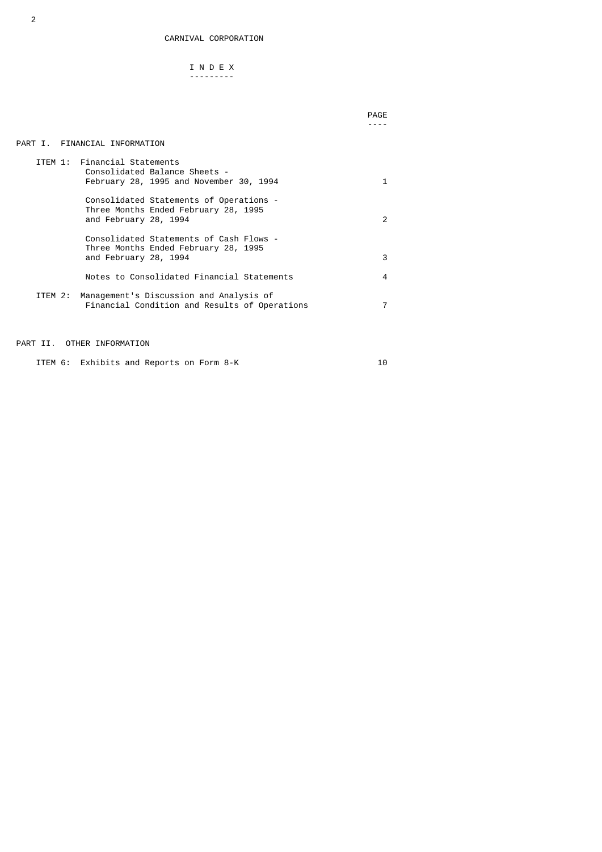# I N D E X ---------

#### PART I. FINANCIAL INFORMATION

|         | ITEM 1: Financial Statements<br>Consolidated Balance Sheets -<br>February 28, 1995 and November 30, 1994 |               |
|---------|----------------------------------------------------------------------------------------------------------|---------------|
|         | Consolidated Statements of Operations -<br>Three Months Ended February 28, 1995<br>and February 28, 1994 | $\mathcal{P}$ |
|         | Consolidated Statements of Cash Flows -<br>Three Months Ended February 28, 1995<br>and February 28, 1994 | 3             |
|         | Notes to Consolidated Financial Statements                                                               | 4             |
| ITEM 2: | Management's Discussion and Analysis of<br>Financial Condition and Results of Operations                 |               |

# PART II. OTHER INFORMATION

ITEM 6: Exhibits and Reports on Form 8-K 10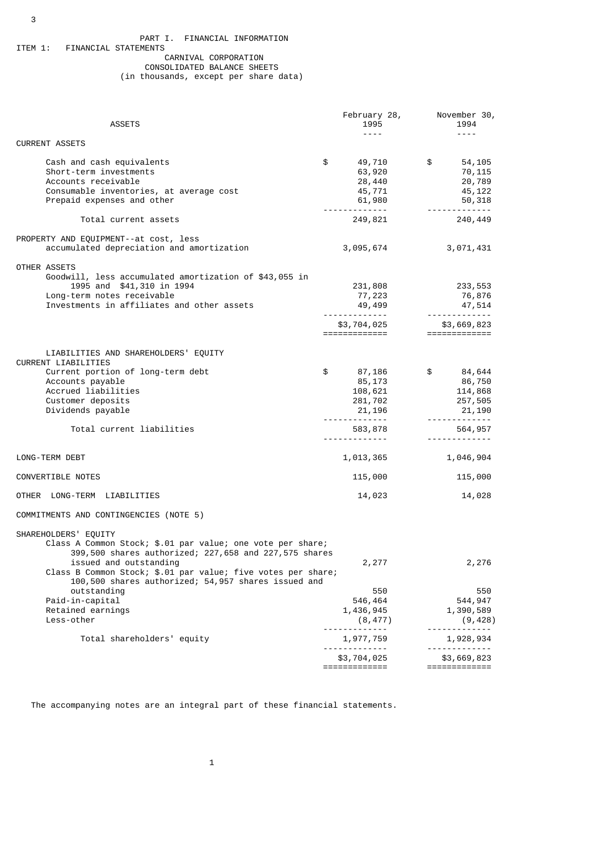### PART I. FINANCIAL INFORMATION<br>ITEM 1: FINANCIAL STATEMENTS FINANCIAL STATEMENTS

# CARNIVAL CORPORATION

# CONSOLIDATED BALANCE SHEETS (in thousands, except per share data)

| <b>ASSETS</b>                                                                                                       | 1995                                               | February 28, November 30,<br>1994 |
|---------------------------------------------------------------------------------------------------------------------|----------------------------------------------------|-----------------------------------|
|                                                                                                                     | $\omega$ is $\omega$ in                            | $\sim$ $\sim$ $\sim$ $\sim$       |
| <b>CURRENT ASSETS</b>                                                                                               |                                                    |                                   |
| Cash and cash equivalents                                                                                           | \$<br>49,710                                       | \$54,105                          |
| Short-term investments                                                                                              | 63,920                                             | 70,115                            |
| Accounts receivable                                                                                                 | 28,440                                             | 20,789                            |
| Consumable inventories, at average cost                                                                             | 45,771                                             | 45,122                            |
| Prepaid expenses and other                                                                                          | 61,980                                             | 50,318                            |
| Total current assets                                                                                                | 249,821                                            | 240,449                           |
|                                                                                                                     |                                                    |                                   |
| PROPERTY AND EQUIPMENT--at cost, less                                                                               |                                                    |                                   |
| accumulated depreciation and amortization                                                                           | 3,095,674                                          | 3,071,431                         |
| OTHER ASSETS                                                                                                        |                                                    |                                   |
| Goodwill, less accumulated amortization of \$43,055 in                                                              |                                                    |                                   |
| 1995 and \$41,310 in 1994                                                                                           | 231,808                                            | 233,553                           |
| Long-term notes receivable                                                                                          | 77,223                                             | 76,876                            |
| Investments in affiliates and other assets                                                                          | 49,499                                             | 47, 514<br>-------------          |
|                                                                                                                     | <u> - - - - - - - - - - - - - -</u><br>\$3,704,025 | \$3,669,823                       |
|                                                                                                                     | =============                                      | $=$ =============                 |
|                                                                                                                     |                                                    |                                   |
| LIABILITIES AND SHAREHOLDERS' EQUITY                                                                                |                                                    |                                   |
| CURRENT LIABILITIES                                                                                                 |                                                    |                                   |
| Current portion of long-term debt                                                                                   | \$<br>87,186                                       | \$84,644                          |
| Accounts payable                                                                                                    | 85,173                                             | 86,750                            |
| Accrued liabilities                                                                                                 | 108,621                                            | 114,868                           |
| Customer deposits                                                                                                   | 281,702                                            | 257,505                           |
| Dividends payable                                                                                                   | 21, 196                                            | 21,190                            |
|                                                                                                                     | <u> - - - - - - - - - - - - - -</u>                | . <u>.</u>                        |
| Total current liabilities                                                                                           | 583,878                                            | 564,957                           |
|                                                                                                                     | .                                                  | <u>.</u>                          |
| LONG-TERM DEBT                                                                                                      | 1,013,365                                          | 1,046,904                         |
|                                                                                                                     |                                                    |                                   |
| CONVERTIBLE NOTES                                                                                                   | 115,000                                            | 115,000                           |
| OTHER LONG-TERM LIABILITIES                                                                                         | 14,023                                             | 14,028                            |
| COMMITMENTS AND CONTINGENCIES (NOTE 5)                                                                              |                                                    |                                   |
|                                                                                                                     |                                                    |                                   |
| SHAREHOLDERS' EQUITY                                                                                                |                                                    |                                   |
| Class A Common Stock; \$.01 par value; one vote per share;                                                          |                                                    |                                   |
| 399,500 shares authorized; 227,658 and 227,575 shares                                                               |                                                    |                                   |
| issued and outstanding                                                                                              | 2,277                                              | 2,276                             |
| Class B Common Stock; \$.01 par value; five votes per share;<br>100,500 shares authorized; 54,957 shares issued and |                                                    |                                   |
| outstanding                                                                                                         | 550                                                | 550                               |
| Paid-in-capital                                                                                                     | 546,464                                            | 544,947                           |
| Retained earnings                                                                                                   | 1,436,945                                          | 1,390,589                         |
| Less-other                                                                                                          |                                                    | (9, 428)                          |
|                                                                                                                     | (8, 477)<br>---------                              |                                   |
| Total shareholders' equity                                                                                          | 1,977,759                                          | 1,928,934                         |
|                                                                                                                     |                                                    |                                   |
|                                                                                                                     | \$3,704,025<br>=============                       | \$3,669,823<br>=============      |
|                                                                                                                     |                                                    |                                   |

The accompanying notes are an integral part of these financial statements.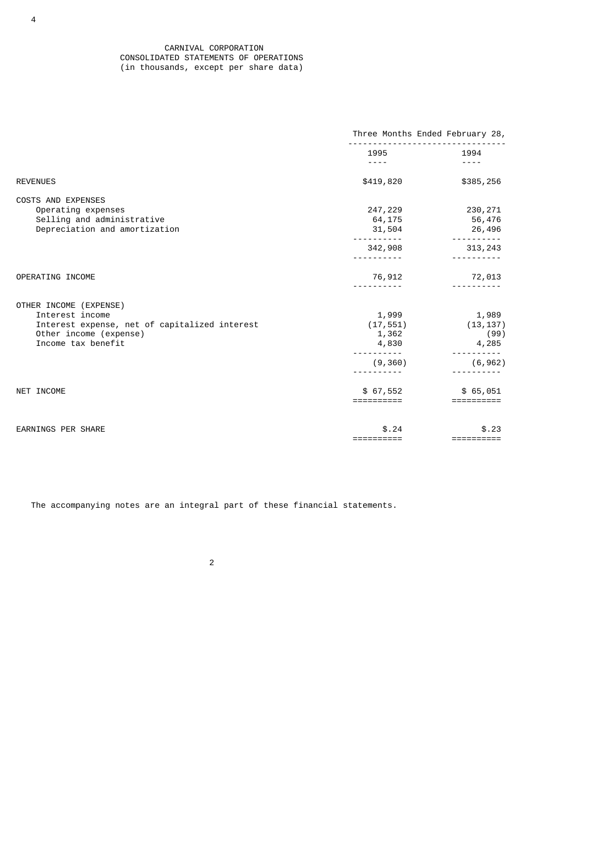### CARNIVAL CORPORATION CONSOLIDATED STATEMENTS OF OPERATIONS (in thousands, except per share data)

|                                                                                                                                            | Three Months Ended February 28,      |                                     |  |
|--------------------------------------------------------------------------------------------------------------------------------------------|--------------------------------------|-------------------------------------|--|
|                                                                                                                                            | 1995<br>----                         | 1994                                |  |
| <b>REVENUES</b>                                                                                                                            | \$419,820                            | \$385,256                           |  |
| <b>COSTS AND EXPENSES</b><br>Operating expenses<br>Selling and administrative<br>Depreciation and amortization                             | 247,229<br>64,175<br>31,504          | 230,271<br>56,476<br>26,496         |  |
|                                                                                                                                            | 342,908                              | 313,243                             |  |
| OPERATING INCOME                                                                                                                           | 76,912                               | 72,013                              |  |
| OTHER INCOME (EXPENSE)<br>Interest income<br>Interest expense, net of capitalized interest<br>Other income (expense)<br>Income tax benefit | 1,999<br>(17, 551)<br>1,362<br>4,830 | 1,989<br>(13, 137)<br>(99)<br>4,285 |  |
|                                                                                                                                            | (9, 360)                             | (6, 962)                            |  |
| NET INCOME                                                                                                                                 | \$67,552<br>==========               | \$65,051<br>==========              |  |
| <b>EARNINGS PER SHARE</b>                                                                                                                  | \$.24<br>==========                  | \$.23<br>==========                 |  |

The accompanying notes are an integral part of these financial statements.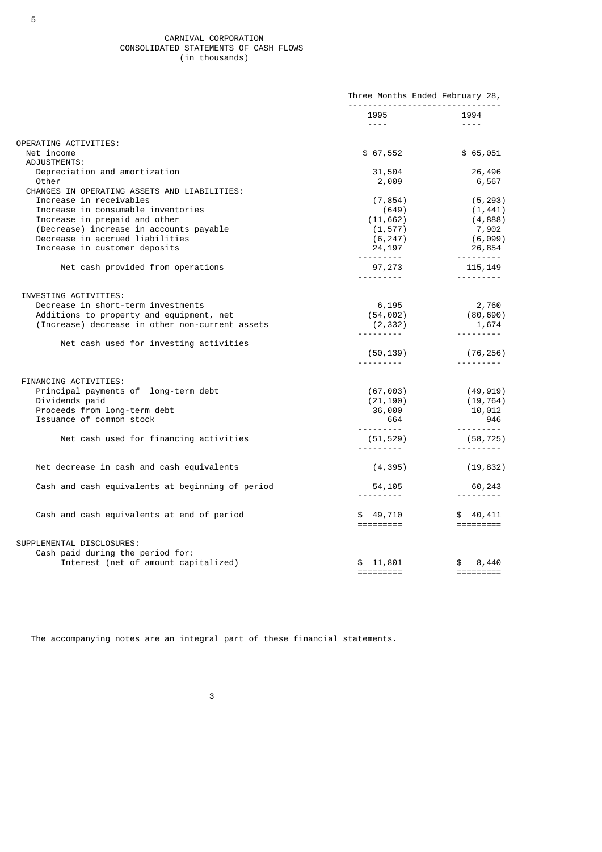CARNIVAL CORPORATION CONSOLIDATED STATEMENTS OF CASH FLOWS (in thousands)

|                                                               | Three Months Ended February 28,                                                                                                                                                                                                         |                                                                                                                                                                                                                                                                                                                                                                                                                                                                                        |  |
|---------------------------------------------------------------|-----------------------------------------------------------------------------------------------------------------------------------------------------------------------------------------------------------------------------------------|----------------------------------------------------------------------------------------------------------------------------------------------------------------------------------------------------------------------------------------------------------------------------------------------------------------------------------------------------------------------------------------------------------------------------------------------------------------------------------------|--|
|                                                               | 1995<br>entere de la provincia del provincia del provincia del provincia del provincia del provincia del provincia de<br>En 1910, en 1910, en 1910, en 1910, en 1910, en 1910, en 1920, en 1920, en 1920, en 1920, en 1920, en 1920, en | 1994<br>$\frac{1}{2}$                                                                                                                                                                                                                                                                                                                                                                                                                                                                  |  |
| OPERATING ACTIVITIES:                                         |                                                                                                                                                                                                                                         |                                                                                                                                                                                                                                                                                                                                                                                                                                                                                        |  |
| Net income                                                    | \$67,552                                                                                                                                                                                                                                | \$65,051                                                                                                                                                                                                                                                                                                                                                                                                                                                                               |  |
| ADJUSTMENTS:                                                  |                                                                                                                                                                                                                                         |                                                                                                                                                                                                                                                                                                                                                                                                                                                                                        |  |
| Depreciation and amortization                                 | 31,504                                                                                                                                                                                                                                  | 26,496                                                                                                                                                                                                                                                                                                                                                                                                                                                                                 |  |
| Other                                                         | 2,009                                                                                                                                                                                                                                   | 6,567                                                                                                                                                                                                                                                                                                                                                                                                                                                                                  |  |
| CHANGES IN OPERATING ASSETS AND LIABILITIES:                  |                                                                                                                                                                                                                                         |                                                                                                                                                                                                                                                                                                                                                                                                                                                                                        |  |
| Increase in receivables<br>Increase in consumable inventories | (7, 854)                                                                                                                                                                                                                                | (5, 293)                                                                                                                                                                                                                                                                                                                                                                                                                                                                               |  |
| Increase in prepaid and other                                 | (649)<br>(11, 662)                                                                                                                                                                                                                      | (1, 441)<br>(4, 888)                                                                                                                                                                                                                                                                                                                                                                                                                                                                   |  |
| (Decrease) increase in accounts payable                       | (1, 577)                                                                                                                                                                                                                                | 7,902                                                                                                                                                                                                                                                                                                                                                                                                                                                                                  |  |
| Decrease in accrued liabilities                               |                                                                                                                                                                                                                                         | (6,099)                                                                                                                                                                                                                                                                                                                                                                                                                                                                                |  |
| Increase in customer deposits                                 | (6, 247)<br>24, 197                                                                                                                                                                                                                     | 26,854                                                                                                                                                                                                                                                                                                                                                                                                                                                                                 |  |
| Net cash provided from operations                             | <u> 22222222</u>                                                                                                                                                                                                                        | 97, 273 115, 149                                                                                                                                                                                                                                                                                                                                                                                                                                                                       |  |
|                                                               | <u> - - - - - - - - - - -</u>                                                                                                                                                                                                           |                                                                                                                                                                                                                                                                                                                                                                                                                                                                                        |  |
| INVESTING ACTIVITIES:                                         |                                                                                                                                                                                                                                         |                                                                                                                                                                                                                                                                                                                                                                                                                                                                                        |  |
| Decrease in short-term investments                            | 6,195                                                                                                                                                                                                                                   |                                                                                                                                                                                                                                                                                                                                                                                                                                                                                        |  |
| Additions to property and equipment, net                      |                                                                                                                                                                                                                                         | 2,760<br>(80,690)                                                                                                                                                                                                                                                                                                                                                                                                                                                                      |  |
| (Increase) decrease in other non-current assets               |                                                                                                                                                                                                                                         |                                                                                                                                                                                                                                                                                                                                                                                                                                                                                        |  |
|                                                               |                                                                                                                                                                                                                                         | $(54, 002)$<br>$(2, 332)$<br>$(2, 332)$<br>$(54, 002)$<br>$(1, 674)$<br>$(2, 332)$                                                                                                                                                                                                                                                                                                                                                                                                     |  |
| Net cash used for investing activities                        |                                                                                                                                                                                                                                         |                                                                                                                                                                                                                                                                                                                                                                                                                                                                                        |  |
|                                                               | (50, 139)<br><u>.</u> .                                                                                                                                                                                                                 | (76, 256)                                                                                                                                                                                                                                                                                                                                                                                                                                                                              |  |
|                                                               |                                                                                                                                                                                                                                         |                                                                                                                                                                                                                                                                                                                                                                                                                                                                                        |  |
| FINANCING ACTIVITIES:                                         |                                                                                                                                                                                                                                         |                                                                                                                                                                                                                                                                                                                                                                                                                                                                                        |  |
| Principal payments of long-term debt<br>Dividends paid        |                                                                                                                                                                                                                                         | $(67, 003)$ (49,919)<br>(19, 764)                                                                                                                                                                                                                                                                                                                                                                                                                                                      |  |
| Proceeds from long-term debt                                  | $(21, 190)$<br>36,000                                                                                                                                                                                                                   | 10,012                                                                                                                                                                                                                                                                                                                                                                                                                                                                                 |  |
| Issuance of common stock                                      | $664$                                                                                                                                                                                                                                   | 946                                                                                                                                                                                                                                                                                                                                                                                                                                                                                    |  |
| Net cash used for financing activities                        | (51, 529)                                                                                                                                                                                                                               | .<br>(58, 725)                                                                                                                                                                                                                                                                                                                                                                                                                                                                         |  |
|                                                               |                                                                                                                                                                                                                                         | $\begin{array}{cccccccccccccc} \multicolumn{2}{c}{} & \multicolumn{2}{c}{} & \multicolumn{2}{c}{} & \multicolumn{2}{c}{} & \multicolumn{2}{c}{} & \multicolumn{2}{c}{} & \multicolumn{2}{c}{} & \multicolumn{2}{c}{} & \multicolumn{2}{c}{} & \multicolumn{2}{c}{} & \multicolumn{2}{c}{} & \multicolumn{2}{c}{} & \multicolumn{2}{c}{} & \multicolumn{2}{c}{} & \multicolumn{2}{c}{} & \multicolumn{2}{c}{} & \multicolumn{2}{c}{} & \multicolumn{2}{c}{} & \multicolumn{2}{c}{} & \$ |  |
| Net decrease in cash and cash equivalents                     | (4, 395)                                                                                                                                                                                                                                | (19, 832)                                                                                                                                                                                                                                                                                                                                                                                                                                                                              |  |
| Cash and cash equivalents at beginning of period              | 54,105<br>$\frac{1}{2}$                                                                                                                                                                                                                 | 60,243                                                                                                                                                                                                                                                                                                                                                                                                                                                                                 |  |
| Cash and cash equivalents at end of period                    | $$49,710$ $$40,411$                                                                                                                                                                                                                     |                                                                                                                                                                                                                                                                                                                                                                                                                                                                                        |  |
|                                                               | =========                                                                                                                                                                                                                               |                                                                                                                                                                                                                                                                                                                                                                                                                                                                                        |  |
| SUPPLEMENTAL DISCLOSURES:                                     |                                                                                                                                                                                                                                         |                                                                                                                                                                                                                                                                                                                                                                                                                                                                                        |  |
| Cash paid during the period for:                              |                                                                                                                                                                                                                                         |                                                                                                                                                                                                                                                                                                                                                                                                                                                                                        |  |
| Interest (net of amount capitalized)                          | \$11,801<br>=========                                                                                                                                                                                                                   | \$8,440                                                                                                                                                                                                                                                                                                                                                                                                                                                                                |  |

The accompanying notes are an integral part of these financial statements.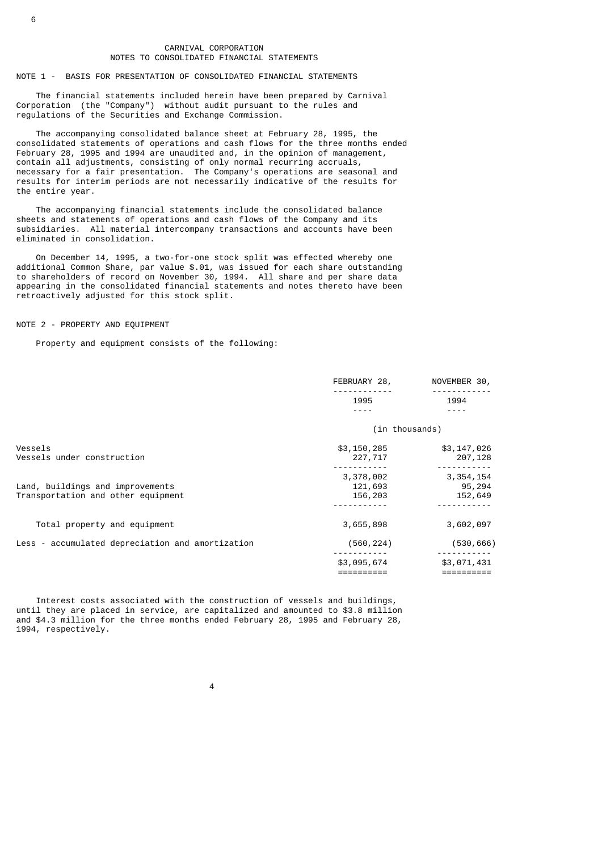#### CARNIVAL CORPORATION NOTES TO CONSOLIDATED FINANCIAL STATEMENTS

#### NOTE 1 - BASIS FOR PRESENTATION OF CONSOLIDATED FINANCIAL STATEMENTS

 The financial statements included herein have been prepared by Carnival Corporation (the "Company") without audit pursuant to the rules and regulations of the Securities and Exchange Commission.

 The accompanying consolidated balance sheet at February 28, 1995, the consolidated statements of operations and cash flows for the three months ended February 28, 1995 and 1994 are unaudited and, in the opinion of management, contain all adjustments, consisting of only normal recurring accruals, necessary for a fair presentation. The Company's operations are seasonal and results for interim periods are not necessarily indicative of the results for the entire year.

 The accompanying financial statements include the consolidated balance sheets and statements of operations and cash flows of the Company and its subsidiaries. All material intercompany transactions and accounts have been eliminated in consolidation.

 On December 14, 1995, a two-for-one stock split was effected whereby one additional Common Share, par value \$.01, was issued for each share outstanding to shareholders of record on November 30, 1994. All share and per share data appearing in the consolidated financial statements and notes thereto have been retroactively adjusted for this stock split.

#### NOTE 2 - PROPERTY AND EQUIPMENT

Property and equipment consists of the following:

|                                                  | FEBRUARY 28,   | NOVEMBER 30,         |
|--------------------------------------------------|----------------|----------------------|
|                                                  | 1995           | 1994                 |
|                                                  |                |                      |
|                                                  | (in thousands) |                      |
| Vessels                                          | \$3,150,285    | \$3,147,026          |
| Vessels under construction                       | 227,717        | 207,128              |
|                                                  | 3,378,002      | 3, 354, 154          |
| Land, buildings and improvements                 | 121,693        | 95,294               |
| Transportation and other equipment               | 156,203        | 152,649<br>--------- |
|                                                  |                |                      |
| Total property and equipment                     | 3,655,898      | 3,602,097            |
| Less - accumulated depreciation and amortization | (560, 224)     | (530, 666)           |
|                                                  | \$3,095,674    | \$3,071,431          |
|                                                  |                |                      |

 Interest costs associated with the construction of vessels and buildings, until they are placed in service, are capitalized and amounted to \$3.8 million and \$4.3 million for the three months ended February 28, 1995 and February 28, 1994, respectively.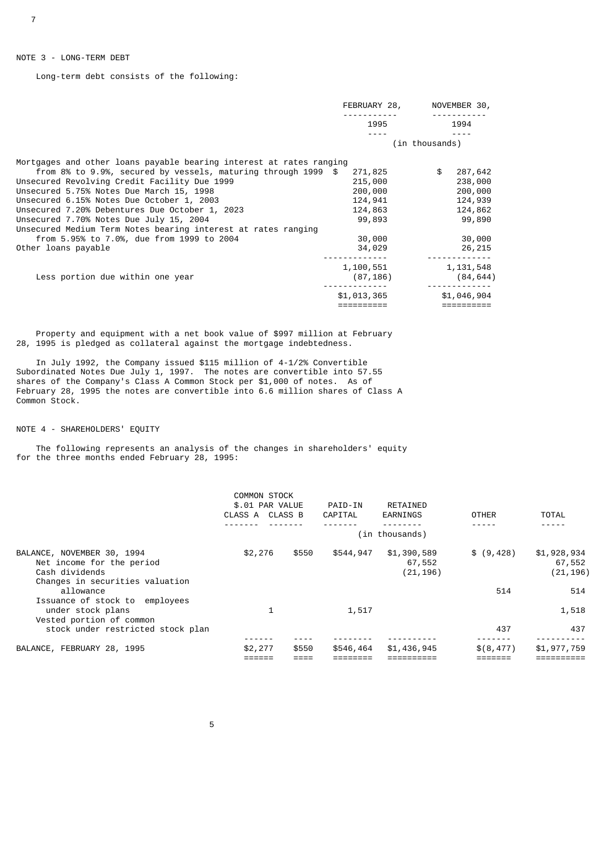## NOTE 3 - LONG-TERM DEBT

Long-term debt consists of the following:

|                                                                                                                | FEBRUARY 28,       | NOVEMBER 30,             |
|----------------------------------------------------------------------------------------------------------------|--------------------|--------------------------|
|                                                                                                                | 1995               | 1994                     |
|                                                                                                                |                    | (in thousands)           |
| Mortgages and other loans payable bearing interest at rates ranging                                            |                    |                          |
| from 8% to 9.9%, secured by vessels, maturing through 1999 $$$<br>Unsecured Revolving Credit Facility Due 1999 | 271,825<br>215,000 | 287,642<br>\$<br>238,000 |
| Unsecured 5.75% Notes Due March 15, 1998                                                                       | 200,000            | 200,000                  |
| Unsecured 6.15% Notes Due October 1, 2003                                                                      | 124,941            | 124,939                  |
| Unsecured 7.20% Debentures Due October 1, 2023                                                                 | 124,863            | 124,862                  |
| Unsecured 7.70% Notes Due July 15, 2004                                                                        | 99,893             | 99,890                   |
| Unsecured Medium Term Notes bearing interest at rates ranging                                                  |                    |                          |
| from 5.95% to 7.0%, due from 1999 to 2004                                                                      | 30,000             | 30,000                   |
| Other loans payable                                                                                            | 34,029             | 26,215                   |
|                                                                                                                | 1,100,551          | 1,131,548                |
| Less portion due within one year                                                                               | (87, 186)          | (84, 644)                |
|                                                                                                                | \$1,013,365        | \$1,046,904              |
|                                                                                                                |                    |                          |

 Property and equipment with a net book value of \$997 million at February 28, 1995 is pledged as collateral against the mortgage indebtedness.

 In July 1992, the Company issued \$115 million of 4-1/2% Convertible Subordinated Notes Due July 1, 1997. The notes are convertible into 57.55 shares of the Company's Class A Common Stock per \$1,000 of notes. As of February 28, 1995 the notes are convertible into 6.6 million shares of Class A Common Stock.

NOTE 4 - SHAREHOLDERS' EQUITY

 The following represents an analysis of the changes in shareholders' equity for the three months ended February 28, 1995:

|                                                                                                              | CLASS A CLASS B | <b>COMMON STOCK</b><br>\$.01 PAR VALUE | PAID-IN<br>CAPITAL | RETAINED<br>EARNINGS               | <b>OTHER</b> | <b>TOTAL</b>                      |
|--------------------------------------------------------------------------------------------------------------|-----------------|----------------------------------------|--------------------|------------------------------------|--------------|-----------------------------------|
|                                                                                                              |                 |                                        |                    | (in thousands)                     |              |                                   |
| BALANCE, NOVEMBER 30, 1994<br>Net income for the period<br>Cash dividends<br>Changes in securities valuation | \$2,276         | \$550                                  | \$544,947          | \$1,390,589<br>67,552<br>(21, 196) | \$ (9, 428)  | \$1,928,934<br>67,552<br>(21,196) |
| allowance<br>Issuance of stock to employees                                                                  |                 |                                        |                    |                                    | 514          | 514                               |
| under stock plans<br>Vested portion of common<br>stock under restricted stock plan                           |                 |                                        | 1,517              |                                    | 437          | 1,518<br>437                      |
|                                                                                                              |                 |                                        |                    |                                    |              |                                   |
| BALANCE, FEBRUARY 28, 1995                                                                                   | \$2,277         | \$550                                  | \$546,464          | \$1,436,945                        | \$(8, 477)   | \$1,977,759                       |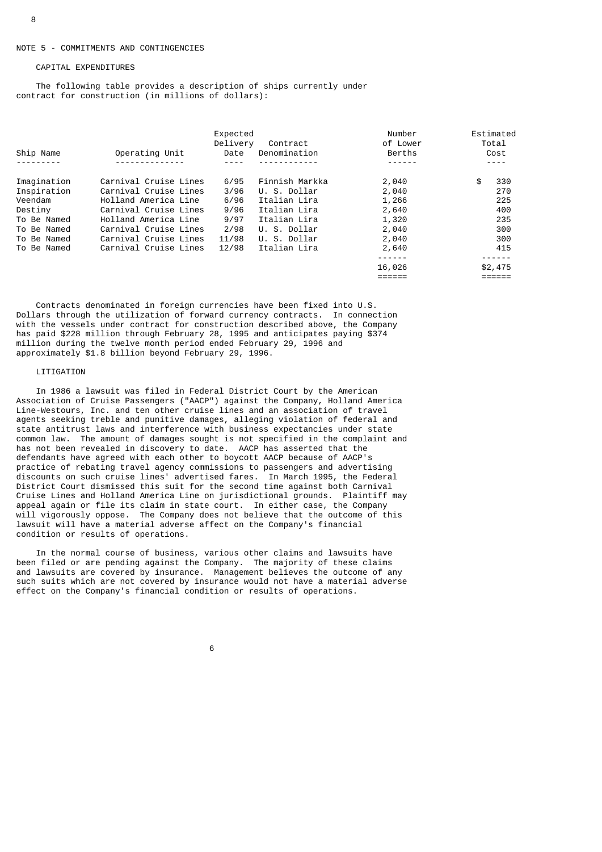#### CAPITAL EXPENDITURES

 The following table provides a description of ships currently under contract for construction (in millions of dollars):

| Ship Name   | Operating Unit        | Expected<br>Delivery<br>Date | Contract<br>Denomination | Number<br>of Lower<br>Berths | Estimated<br>Total<br>Cost<br>---- |
|-------------|-----------------------|------------------------------|--------------------------|------------------------------|------------------------------------|
| Imagination | Carnival Cruise Lines | 6/95                         | Finnish Markka           | 2,040                        | \$<br>330                          |
| Inspiration | Carnival Cruise Lines | 3/96                         | U. S. Dollar             | 2,040                        | 270                                |
| Veendam     | Holland America Line  | 6/96                         | Italian Lira             | 1,266                        | 225                                |
| Destiny     | Carnival Cruise Lines | 9/96                         | Italian Lira             | 2,640                        | 400                                |
| To Be Named | Holland America Line  | 9/97                         | Italian Lira             | 1,320                        | 235                                |
| To Be Named | Carnival Cruise Lines | 2/98                         | U. S. Dollar             | 2,040                        | 300                                |
| To Be Named | Carnival Cruise Lines | 11/98                        | U. S. Dollar             | 2,040                        | 300                                |
| To Be Named | Carnival Cruise Lines | 12/98                        | Italian Lira             | 2,640                        | 415                                |
|             |                       |                              |                          | .                            |                                    |
|             |                       |                              |                          | 16,026                       | \$2,475                            |
|             |                       |                              |                          | :====:                       | =====                              |

 Contracts denominated in foreign currencies have been fixed into U.S. Dollars through the utilization of forward currency contracts. In connection with the vessels under contract for construction described above, the Company has paid \$228 million through February 28, 1995 and anticipates paying \$374 million during the twelve month period ended February 29, 1996 and approximately \$1.8 billion beyond February 29, 1996.

#### LITIGATION

 In 1986 a lawsuit was filed in Federal District Court by the American Association of Cruise Passengers ("AACP") against the Company, Holland America Line-Westours, Inc. and ten other cruise lines and an association of travel agents seeking treble and punitive damages, alleging violation of federal and state antitrust laws and interference with business expectancies under state common law. The amount of damages sought is not specified in the complaint and has not been revealed in discovery to date. AACP has asserted that the defendants have agreed with each other to boycott AACP because of AACP's practice of rebating travel agency commissions to passengers and advertising discounts on such cruise lines' advertised fares. In March 1995, the Federal District Court dismissed this suit for the second time against both Carnival Cruise Lines and Holland America Line on jurisdictional grounds. Plaintiff may appeal again or file its claim in state court. In either case, the Company will vigorously oppose. The Company does not believe that the outcome of this lawsuit will have a material adverse affect on the Company's financial condition or results of operations.

 In the normal course of business, various other claims and lawsuits have been filed or are pending against the Company. The majority of these claims and lawsuits are covered by insurance. Management believes the outcome of any such suits which are not covered by insurance would not have a material adverse effect on the Company's financial condition or results of operations.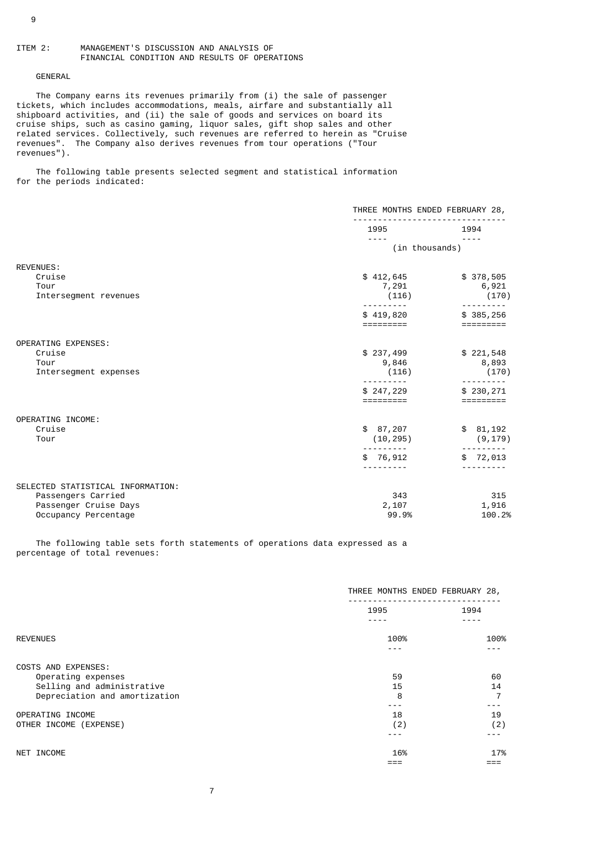#### GENERAL

The Company earns its revenues primarily from (i) the sale of passenger tickets, which includes accommodations, meals, airfare and substantially all shipboard activities, and (ii) the sale of goods and services on board its cruise ships, such as casino gaming, liquor sales, gift shop sales and other related services. Collectively, such revenues are referred to herein as "Cruise revenues". The Company also derives revenues from tour operations ("Tour revenues").

 The following table presents selected segment and statistical information for the periods indicated:

|                                                                                                          | THREE MONTHS ENDED FEBRUARY 28,   |                                                                                                                                                                                                                                                                                                                                                                                                                                                                                                           |  |
|----------------------------------------------------------------------------------------------------------|-----------------------------------|-----------------------------------------------------------------------------------------------------------------------------------------------------------------------------------------------------------------------------------------------------------------------------------------------------------------------------------------------------------------------------------------------------------------------------------------------------------------------------------------------------------|--|
|                                                                                                          | 1995                              | 1994                                                                                                                                                                                                                                                                                                                                                                                                                                                                                                      |  |
|                                                                                                          | $- - - -$<br>(in thousands)       | $- - - -$                                                                                                                                                                                                                                                                                                                                                                                                                                                                                                 |  |
| <b>REVENUES:</b><br>Cruise<br>Tour<br>Intersegment revenues                                              | \$412,645<br>7,291<br>(116)       | \$378,505<br>6,921<br>(170)<br>$\frac{1}{2} \left( \frac{1}{2} \right) \left( \frac{1}{2} \right) \left( \frac{1}{2} \right) \left( \frac{1}{2} \right) \left( \frac{1}{2} \right) \left( \frac{1}{2} \right) \left( \frac{1}{2} \right) \left( \frac{1}{2} \right) \left( \frac{1}{2} \right) \left( \frac{1}{2} \right) \left( \frac{1}{2} \right) \left( \frac{1}{2} \right) \left( \frac{1}{2} \right) \left( \frac{1}{2} \right) \left( \frac{1}{2} \right) \left( \frac{1}{2} \right) \left( \frac$ |  |
|                                                                                                          | \$419,820<br>=========            | \$385,256<br>=========                                                                                                                                                                                                                                                                                                                                                                                                                                                                                    |  |
| <b>OPERATING EXPENSES:</b><br>Cruise<br>Tour<br>Intersegment expenses                                    | \$237,499<br>9,846<br>(116)       | \$221,548<br>8,893<br>(170)<br>-------                                                                                                                                                                                                                                                                                                                                                                                                                                                                    |  |
|                                                                                                          | \$247,229<br>=========            | \$230,271<br>=========                                                                                                                                                                                                                                                                                                                                                                                                                                                                                    |  |
| OPERATING INCOME:<br>Cruise<br>Tour                                                                      | \$87,207<br>(10, 295)<br>\$76,912 | \$81,192<br>(9, 179)<br>\$72,013                                                                                                                                                                                                                                                                                                                                                                                                                                                                          |  |
|                                                                                                          |                                   |                                                                                                                                                                                                                                                                                                                                                                                                                                                                                                           |  |
| SELECTED STATISTICAL INFORMATION:<br>Passengers Carried<br>Passenger Cruise Days<br>Occupancy Percentage | 343<br>2,107<br>99.9%             | 315<br>1,916<br>100.2%                                                                                                                                                                                                                                                                                                                                                                                                                                                                                    |  |

 The following table sets forth statements of operations data expressed as a percentage of total revenues:

|                               | THREE MONTHS ENDED FEBRUARY 28, |      |
|-------------------------------|---------------------------------|------|
|                               | 1995                            | 1994 |
|                               |                                 |      |
| <b>REVENUES</b>               | 100%                            | 100% |
|                               |                                 |      |
| COSTS AND EXPENSES:           |                                 |      |
| Operating expenses            | 59                              | 60   |
| Selling and administrative    | 15                              | 14   |
| Depreciation and amortization | 8                               |      |
|                               |                                 |      |
| OPERATING INCOME              | 18                              | 19   |
| OTHER INCOME (EXPENSE)        | (2)                             | (2)  |
|                               |                                 |      |
| NET INCOME                    | 16%                             | 17%  |
|                               |                                 |      |
|                               |                                 |      |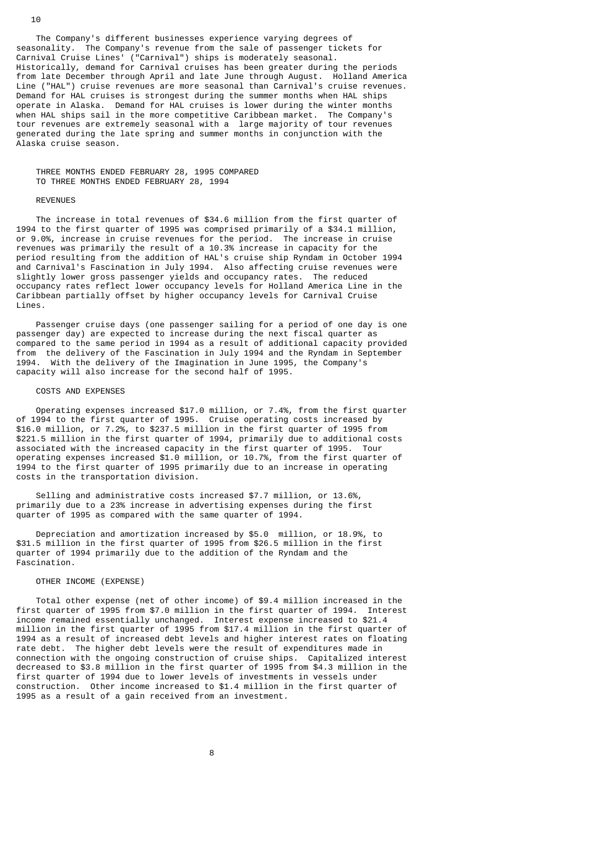The Company's different businesses experience varying degrees of seasonality. The Company's revenue from the sale of passenger tickets for Carnival Cruise Lines' ("Carnival") ships is moderately seasonal. Historically, demand for Carnival cruises has been greater during the periods from late December through April and late June through August. Holland America Line ("HAL") cruise revenues are more seasonal than Carnival's cruise revenues. Demand for HAL cruises is strongest during the summer months when HAL ships operate in Alaska. Demand for HAL cruises is lower during the winter months when HAL ships sail in the more competitive Caribbean market. The Company's tour revenues are extremely seasonal with a large majority of tour revenues generated during the late spring and summer months in conjunction with the Alaska cruise season.

 THREE MONTHS ENDED FEBRUARY 28, 1995 COMPARED TO THREE MONTHS ENDED FEBRUARY 28, 1994

#### REVENUES

 The increase in total revenues of \$34.6 million from the first quarter of 1994 to the first quarter of 1995 was comprised primarily of a \$34.1 million, or 9.0%, increase in cruise revenues for the period. The increase in cruise revenues was primarily the result of a 10.3% increase in capacity for the period resulting from the addition of HAL's cruise ship Ryndam in October 1994 and Carnival's Fascination in July 1994. Also affecting cruise revenues were slightly lower gross passenger yields and occupancy rates. The reduced occupancy rates reflect lower occupancy levels for Holland America Line in the Caribbean partially offset by higher occupancy levels for Carnival Cruise Lines.

 Passenger cruise days (one passenger sailing for a period of one day is one passenger day) are expected to increase during the next fiscal quarter as compared to the same period in 1994 as a result of additional capacity provided from the delivery of the Fascination in July 1994 and the Ryndam in September 1994. With the delivery of the Imagination in June 1995, the Company's capacity will also increase for the second half of 1995.

#### COSTS AND EXPENSES

 Operating expenses increased \$17.0 million, or 7.4%, from the first quarter of 1994 to the first quarter of 1995. Cruise operating costs increased by \$16.0 million, or 7.2%, to \$237.5 million in the first quarter of 1995 from \$221.5 million in the first quarter of 1994, primarily due to additional costs associated with the increased capacity in the first quarter of 1995. Tour operating expenses increased \$1.0 million, or 10.7%, from the first quarter of 1994 to the first quarter of 1995 primarily due to an increase in operating costs in the transportation division.

 Selling and administrative costs increased \$7.7 million, or 13.6%, primarily due to a 23% increase in advertising expenses during the first quarter of 1995 as compared with the same quarter of 1994.

 Depreciation and amortization increased by \$5.0 million, or 18.9%, to \$31.5 million in the first quarter of 1995 from \$26.5 million in the first quarter of 1994 primarily due to the addition of the Ryndam and the Fascination.

#### OTHER INCOME (EXPENSE)

 Total other expense (net of other income) of \$9.4 million increased in the first quarter of 1995 from \$7.0 million in the first quarter of 1994. Interest income remained essentially unchanged. Interest expense increased to \$21.4 million in the first quarter of 1995 from \$17.4 million in the first quarter of 1994 as a result of increased debt levels and higher interest rates on floating rate debt. The higher debt levels were the result of expenditures made in connection with the ongoing construction of cruise ships. Capitalized interest decreased to \$3.8 million in the first quarter of 1995 from \$4.3 million in the first quarter of 1994 due to lower levels of investments in vessels under construction. Other income increased to \$1.4 million in the first quarter of 1995 as a result of a gain received from an investment.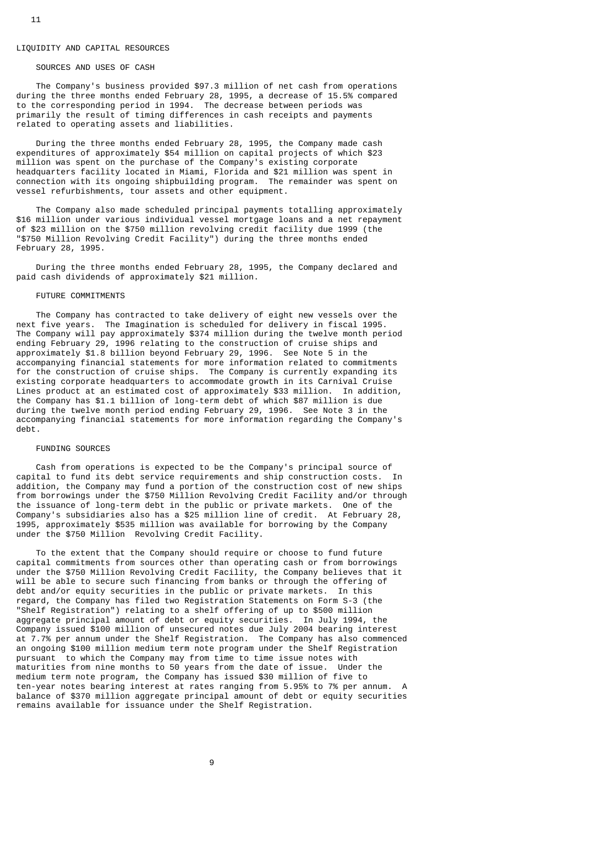#### LIQUIDITY AND CAPITAL RESOURCES

#### SOURCES AND USES OF CASH

 The Company's business provided \$97.3 million of net cash from operations during the three months ended February 28, 1995, a decrease of 15.5% compared to the corresponding period in 1994. The decrease between periods was primarily the result of timing differences in cash receipts and payments related to operating assets and liabilities.

 During the three months ended February 28, 1995, the Company made cash expenditures of approximately \$54 million on capital projects of which \$23 million was spent on the purchase of the Company's existing corporate headquarters facility located in Miami, Florida and \$21 million was spent in connection with its ongoing shipbuilding program. The remainder was spent on vessel refurbishments, tour assets and other equipment.

 The Company also made scheduled principal payments totalling approximately \$16 million under various individual vessel mortgage loans and a net repayment of \$23 million on the \$750 million revolving credit facility due 1999 (the "\$750 Million Revolving Credit Facility") during the three months ended February 28, 1995.

 During the three months ended February 28, 1995, the Company declared and paid cash dividends of approximately \$21 million.

#### FUTURE COMMITMENTS

 The Company has contracted to take delivery of eight new vessels over the next five years. The Imagination is scheduled for delivery in fiscal 1995. The Company will pay approximately \$374 million during the twelve month period ending February 29, 1996 relating to the construction of cruise ships and approximately \$1.8 billion beyond February 29, 1996. See Note 5 in the accompanying financial statements for more information related to commitments for the construction of cruise ships. The Company is currently expanding its existing corporate headquarters to accommodate growth in its Carnival Cruise Lines product at an estimated cost of approximately \$33 million. In addition, the Company has \$1.1 billion of long-term debt of which \$87 million is due during the twelve month period ending February 29, 1996. See Note 3 in the accompanying financial statements for more information regarding the Company's debt.

#### FUNDING SOURCES

 Cash from operations is expected to be the Company's principal source of capital to fund its debt service requirements and ship construction costs. In addition, the Company may fund a portion of the construction cost of new ships from borrowings under the \$750 Million Revolving Credit Facility and/or through the issuance of long-term debt in the public or private markets. One of the Company's subsidiaries also has a \$25 million line of credit. At February 28, 1995, approximately \$535 million was available for borrowing by the Company under the \$750 Million Revolving Credit Facility.

 To the extent that the Company should require or choose to fund future capital commitments from sources other than operating cash or from borrowings under the \$750 Million Revolving Credit Facility, the Company believes that it will be able to secure such financing from banks or through the offering of debt and/or equity securities in the public or private markets. In this regard, the Company has filed two Registration Statements on Form S-3 (the "Shelf Registration") relating to a shelf offering of up to \$500 million aggregate principal amount of debt or equity securities. In July 1994, the Company issued \$100 million of unsecured notes due July 2004 bearing interest at 7.7% per annum under the Shelf Registration. The Company has also commenced an ongoing \$100 million medium term note program under the Shelf Registration pursuant to which the Company may from time to time issue notes with maturities from nine months to 50 years from the date of issue. Under the medium term note program, the Company has issued \$30 million of five to ten-year notes bearing interest at rates ranging from 5.95% to 7% per annum. A balance of \$370 million aggregate principal amount of debt or equity securities remains available for issuance under the Shelf Registration.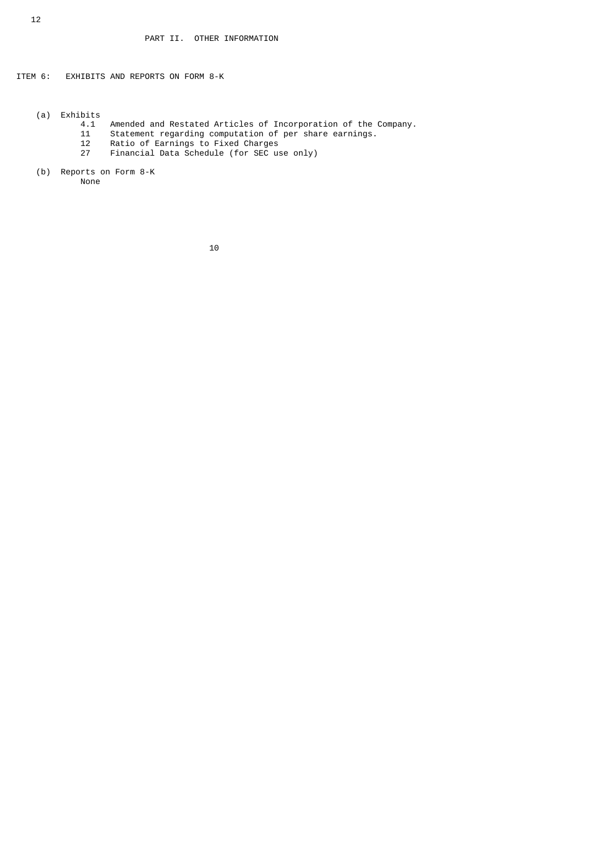ITEM 6: EXHIBITS AND REPORTS ON FORM 8-K

- (a) Exhibits
	- 4.1 Amended and Restated Articles of Incorporation of the Company.<br>11 Statement regarding computation of per share earnings.
- 11 Statement regarding computation of per share earnings.
- 12 Ratio of Earnings to Fixed Charges
	- 27 Financial Data Schedule (for SEC use only)
	- (b) Reports on Form 8-K

None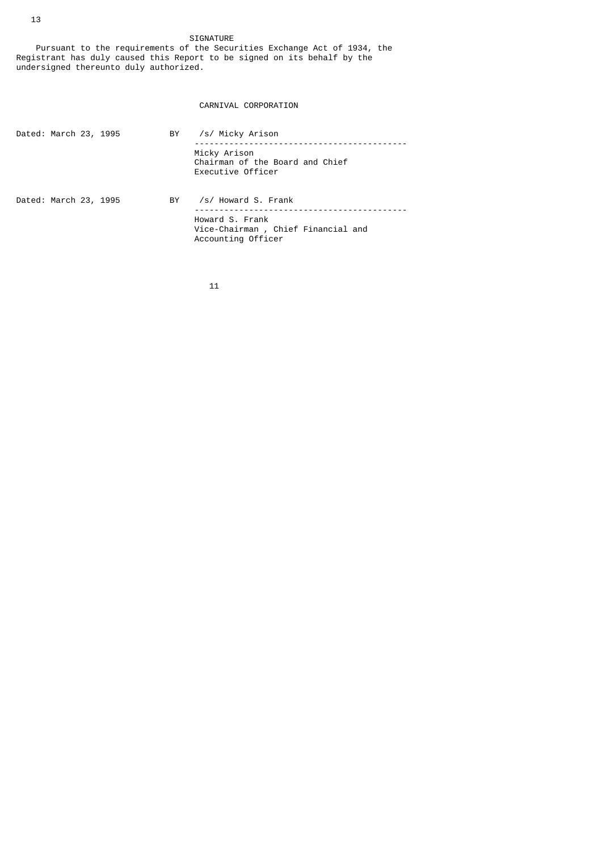SIGNATURE Pursuant to the requirements of the Securities Exchange Act of 1934, the Registrant has duly caused this Report to be signed on its behalf by the undersigned thereunto duly authorized.

# CARNIVAL CORPORATION

| Dated: March 23, 1995 |  | BY. | /s/ Micky Arison                                                            |
|-----------------------|--|-----|-----------------------------------------------------------------------------|
|                       |  |     | Micky Arison<br>Chairman of the Board and Chief<br>Executive Officer        |
| Dated: March 23, 1995 |  | BY  | /s/ Howard S. Frank                                                         |
|                       |  |     | Howard S. Frank<br>Vice-Chairman, Chief Financial and<br>Accounting Officer |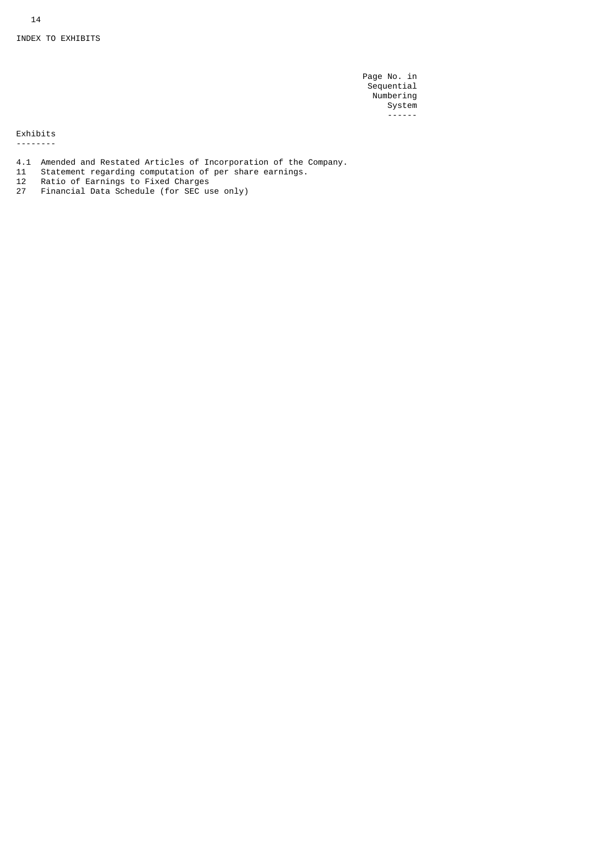Page No. in Sequential Numbering en de la seule de la seule de la seule de la seule de la seule de la seule de la seule de la seule de la seule ------

Exhibits

--------

- 4.1 Amended and Restated Articles of Incorporation of the Company.
- 11 Statement regarding computation of per share earnings.
- 12 Ratio of Earnings to Fixed Charges
- 27 Financial Data Schedule (for SEC use only)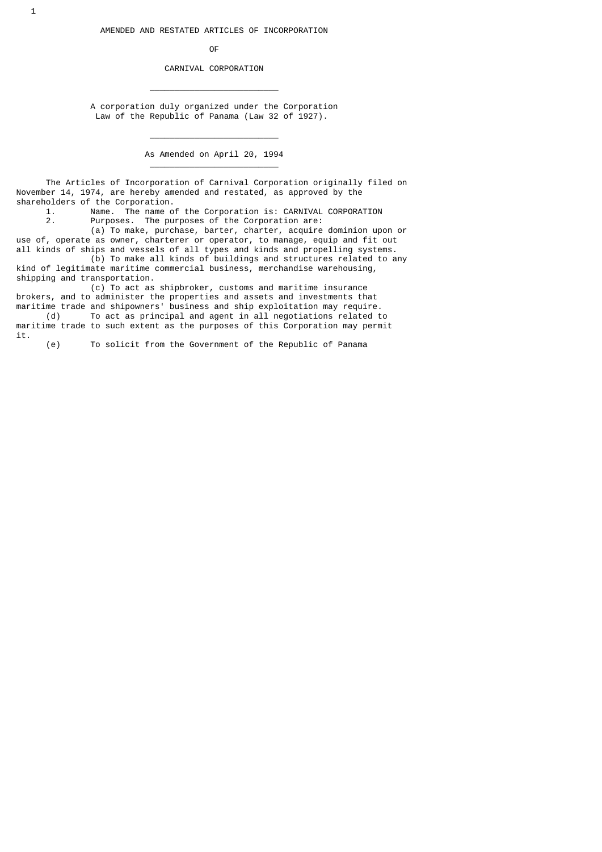**OF OF** 

\_\_\_\_\_\_\_\_\_\_\_\_\_\_\_\_\_\_\_\_\_\_\_\_\_\_

 $\frac{1}{2}$  , and the set of the set of the set of the set of the set of the set of the set of the set of the set of the set of the set of the set of the set of the set of the set of the set of the set of the set of the set

\_\_\_\_\_\_\_\_\_\_\_\_\_\_\_\_\_\_\_\_\_\_\_\_\_\_

CARNIVAL CORPORATION

 A corporation duly organized under the Corporation Law of the Republic of Panama (Law 32 of 1927).

As Amended on April 20, 1994

 The Articles of Incorporation of Carnival Corporation originally filed on November 14, 1974, are hereby amended and restated, as approved by the shareholders of the Corporation.<br>1. Name. The name o

1. Name. The name of the Corporation is: CARNIVAL CORPORATION<br>2 Purposes The purposes of the Corporation are: Purposes. The purposes of the Corporation are:

 (a) To make, purchase, barter, charter, acquire dominion upon or use of, operate as owner, charterer or operator, to manage, equip and fit out

all kinds of ships and vessels of all types and kinds and propelling systems. (b) To make all kinds of buildings and structures related to any kind of legitimate maritime commercial business, merchandise warehousing,

shipping and transportation. (c) To act as shipbroker, customs and maritime insurance brokers, and to administer the properties and assets and investments that

maritime trade and shipowners' business and ship exploitation may require.<br>(d) To act as principal and agent in all negotiations related t To act as principal and agent in all negotiations related to maritime trade to such extent as the purposes of this Corporation may permit it.

(e) To solicit from the Government of the Republic of Panama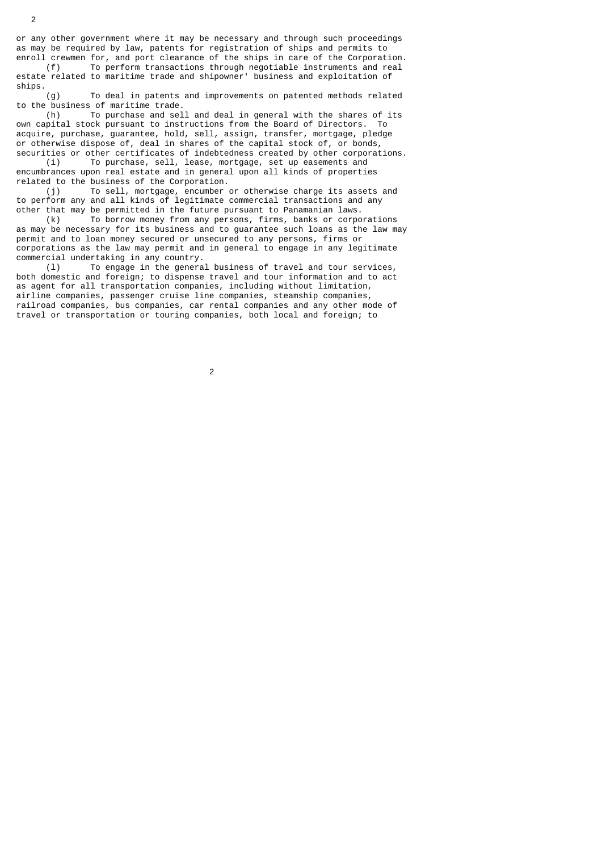or any other government where it may be necessary and through such proceedings as may be required by law, patents for registration of ships and permits to enroll crewmen for, and port clearance of the ships in care of the Corporation.

 (f) To perform transactions through negotiable instruments and real estate related to maritime trade and shipowner' business and exploitation of ships.

 (g) To deal in patents and improvements on patented methods related to the business of maritime trade.<br>(h) To purchase and sel

To purchase and sell and deal in general with the shares of its own capital stock pursuant to instructions from the Board of Directors. To acquire, purchase, guarantee, hold, sell, assign, transfer, mortgage, pledge or otherwise dispose of, deal in shares of the capital stock of, or bonds, securities or other certificates of indebtedness created by other corporations.

 (i) To purchase, sell, lease, mortgage, set up easements and encumbrances upon real estate and in general upon all kinds of properties related to the business of the Corporation.

 (j) To sell, mortgage, encumber or otherwise charge its assets and to perform any and all kinds of legitimate commercial transactions and any other that may be permitted in the future pursuant to Panamanian laws.

 (k) To borrow money from any persons, firms, banks or corporations as may be necessary for its business and to guarantee such loans as the law may permit and to loan money secured or unsecured to any persons, firms or corporations as the law may permit and in general to engage in any legitimate commercial undertaking in any country.

 (l) To engage in the general business of travel and tour services, both domestic and foreign; to dispense travel and tour information and to act as agent for all transportation companies, including without limitation, airline companies, passenger cruise line companies, steamship companies, railroad companies, bus companies, car rental companies and any other mode of travel or transportation or touring companies, both local and foreign; to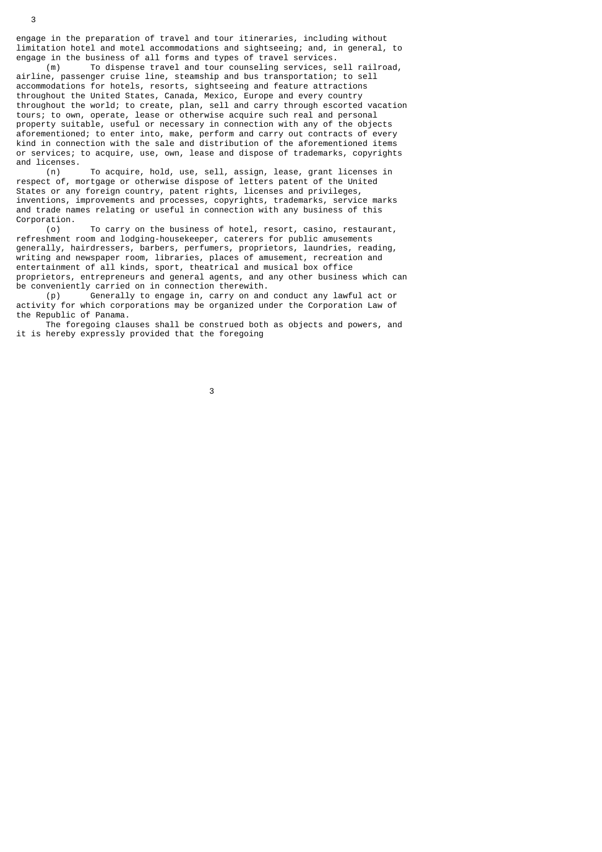engage in the preparation of travel and tour itineraries, including without limitation hotel and motel accommodations and sightseeing; and, in general, to engage in the business of all forms and types of travel services.

 (m) To dispense travel and tour counseling services, sell railroad, airline, passenger cruise line, steamship and bus transportation; to sell accommodations for hotels, resorts, sightseeing and feature attractions throughout the United States, Canada, Mexico, Europe and every country throughout the world; to create, plan, sell and carry through escorted vacation tours; to own, operate, lease or otherwise acquire such real and personal property suitable, useful or necessary in connection with any of the objects aforementioned; to enter into, make, perform and carry out contracts of every kind in connection with the sale and distribution of the aforementioned items or services; to acquire, use, own, lease and dispose of trademarks, copyrights and licenses.

 (n) To acquire, hold, use, sell, assign, lease, grant licenses in respect of, mortgage or otherwise dispose of letters patent of the United States or any foreign country, patent rights, licenses and privileges, inventions, improvements and processes, copyrights, trademarks, service marks and trade names relating or useful in connection with any business of this Corporation.<br>(0)

To carry on the business of hotel, resort, casino, restaurant, refreshment room and lodging-housekeeper, caterers for public amusements generally, hairdressers, barbers, perfumers, proprietors, laundries, reading, writing and newspaper room, libraries, places of amusement, recreation and entertainment of all kinds, sport, theatrical and musical box office proprietors, entrepreneurs and general agents, and any other business which can be conveniently carried on in connection therewith.

 (p) Generally to engage in, carry on and conduct any lawful act or activity for which corporations may be organized under the Corporation Law of the Republic of Panama.

 The foregoing clauses shall be construed both as objects and powers, and it is hereby expressly provided that the foregoing

 $\sim$  3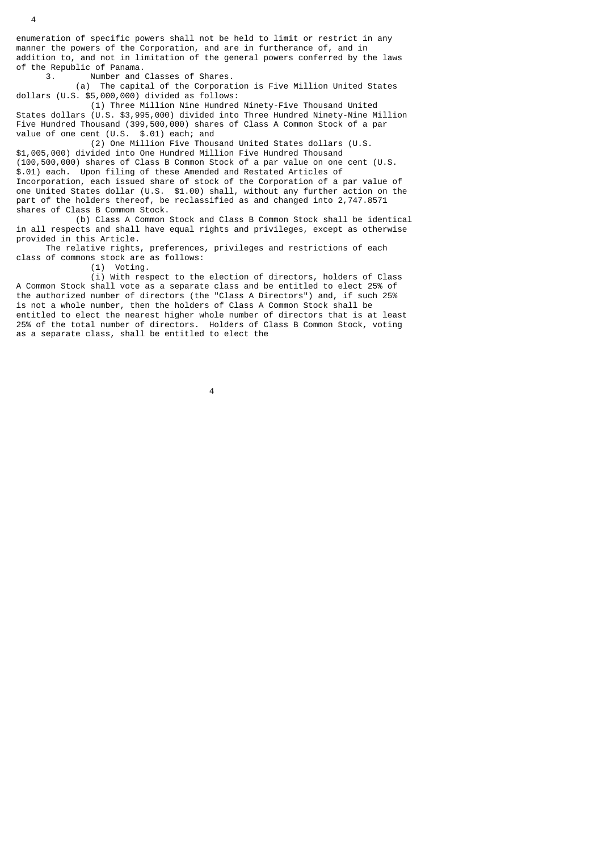enumeration of specific powers shall not be held to limit or restrict in any manner the powers of the Corporation, and are in furtherance of, and in addition to, and not in limitation of the general powers conferred by the laws of the Republic of Panama.<br>3. Number and

Number and Classes of Shares.

 (a) The capital of the Corporation is Five Million United States dollars (U.S. \$5,000,000) divided as follows:

 (1) Three Million Nine Hundred Ninety-Five Thousand United States dollars (U.S. \$3,995,000) divided into Three Hundred Ninety-Nine Million Five Hundred Thousand (399,500,000) shares of Class A Common Stock of a par value of one cent (U.S. \$.01) each; and

 (2) One Million Five Thousand United States dollars (U.S. \$1,005,000) divided into One Hundred Million Five Hundred Thousand (100,500,000) shares of Class B Common Stock of a par value on one cent (U.S. \$.01) each. Upon filing of these Amended and Restated Articles of Incorporation, each issued share of stock of the Corporation of a par value of one United States dollar (U.S. \$1.00) shall, without any further action on the part of the holders thereof, be reclassified as and changed into 2,747.8571 shares of Class B Common Stock.

 (b) Class A Common Stock and Class B Common Stock shall be identical in all respects and shall have equal rights and privileges, except as otherwise provided in this Article.

 The relative rights, preferences, privileges and restrictions of each class of commons stock are as follows:

(1) Voting.

 (i) With respect to the election of directors, holders of Class A Common Stock shall vote as a separate class and be entitled to elect 25% of the authorized number of directors (the "Class A Directors") and, if such 25% is not a whole number, then the holders of Class A Common Stock shall be entitled to elect the nearest higher whole number of directors that is at least 25% of the total number of directors. Holders of Class B Common Stock, voting as a separate class, shall be entitled to elect the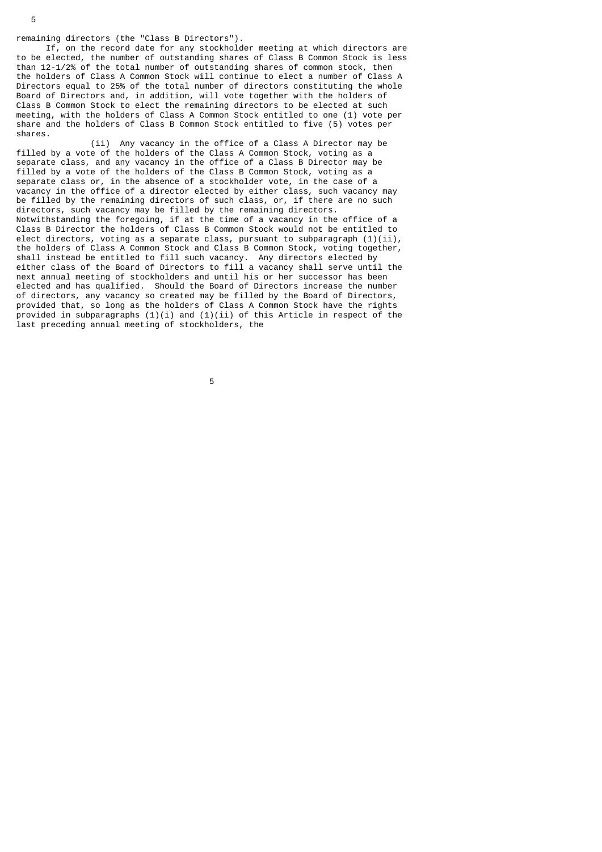remaining directors (the "Class B Directors").

 If, on the record date for any stockholder meeting at which directors are to be elected, the number of outstanding shares of Class B Common Stock is less than 12-1/2% of the total number of outstanding shares of common stock, then the holders of Class A Common Stock will continue to elect a number of Class A Directors equal to 25% of the total number of directors constituting the whole Board of Directors and, in addition, will vote together with the holders of Class B Common Stock to elect the remaining directors to be elected at such meeting, with the holders of Class A Common Stock entitled to one (1) vote per share and the holders of Class B Common Stock entitled to five (5) votes per shares.

 (ii) Any vacancy in the office of a Class A Director may be filled by a vote of the holders of the Class A Common Stock, voting as a separate class, and any vacancy in the office of a Class B Director may be filled by a vote of the holders of the Class B Common Stock, voting as a separate class or, in the absence of a stockholder vote, in the case of a vacancy in the office of a director elected by either class, such vacancy may be filled by the remaining directors of such class, or, if there are no such directors, such vacancy may be filled by the remaining directors. Notwithstanding the foregoing, if at the time of a vacancy in the office of a Class B Director the holders of Class B Common Stock would not be entitled to elect directors, voting as a separate class, pursuant to subparagraph  $(1)(ii)$ , the holders of Class A Common Stock and Class B Common Stock, voting together, shall instead be entitled to fill such vacancy. Any directors elected by either class of the Board of Directors to fill a vacancy shall serve until the next annual meeting of stockholders and until his or her successor has been elected and has qualified. Should the Board of Directors increase the number of directors, any vacancy so created may be filled by the Board of Directors, provided that, so long as the holders of Class A Common Stock have the rights provided in subparagraphs  $(1)(i)$  and  $(1)(ii)$  of this Article in respect of the last preceding annual meeting of stockholders, the

the contract of the contract of the contract of the contract of the contract of the contract of the contract o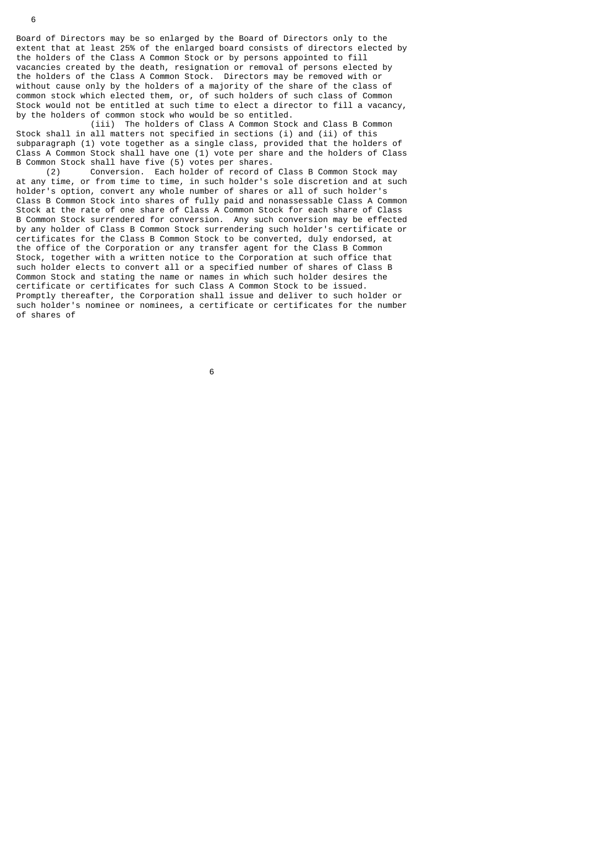Board of Directors may be so enlarged by the Board of Directors only to the extent that at least 25% of the enlarged board consists of directors elected by the holders of the Class A Common Stock or by persons appointed to fill vacancies created by the death, resignation or removal of persons elected by the holders of the Class A Common Stock. Directors may be removed with or without cause only by the holders of a majority of the share of the class of common stock which elected them, or, of such holders of such class of Common Stock would not be entitled at such time to elect a director to fill a vacancy, by the holders of common stock who would be so entitled.

 (iii) The holders of Class A Common Stock and Class B Common Stock shall in all matters not specified in sections (i) and (ii) of this subparagraph (1) vote together as a single class, provided that the holders of Class A Common Stock shall have one (1) vote per share and the holders of Class B Common Stock shall have five (5) votes per shares.

 (2) Conversion. Each holder of record of Class B Common Stock may at any time, or from time to time, in such holder's sole discretion and at such holder's option, convert any whole number of shares or all of such holder's Class B Common Stock into shares of fully paid and nonassessable Class A Common Stock at the rate of one share of Class A Common Stock for each share of Class B Common Stock surrendered for conversion. Any such conversion may be effected by any holder of Class B Common Stock surrendering such holder's certificate or certificates for the Class B Common Stock to be converted, duly endorsed, at the office of the Corporation or any transfer agent for the Class B Common Stock, together with a written notice to the Corporation at such office that such holder elects to convert all or a specified number of shares of Class B Common Stock and stating the name or names in which such holder desires the certificate or certificates for such Class A Common Stock to be issued. Promptly thereafter, the Corporation shall issue and deliver to such holder or such holder's nominee or nominees, a certificate or certificates for the number of shares of

 $\sim$  6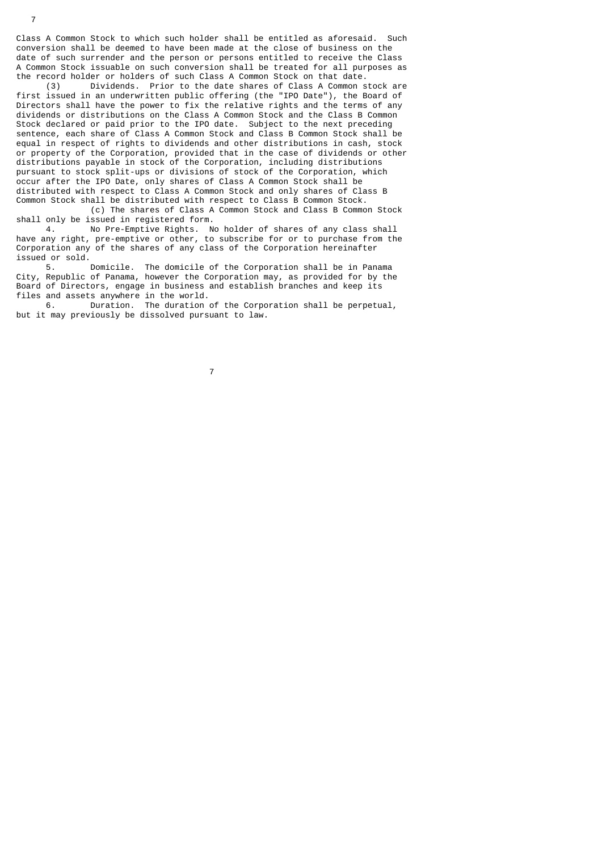Class A Common Stock to which such holder shall be entitled as aforesaid. Such conversion shall be deemed to have been made at the close of business on the date of such surrender and the person or persons entitled to receive the Class A Common Stock issuable on such conversion shall be treated for all purposes as the record holder or holders of such Class A Common Stock on that date.<br>(3) Dividends. Prior to the date shares of Class A Common s

Dividends. Prior to the date shares of Class A Common stock are first issued in an underwritten public offering (the "IPO Date"), the Board of Directors shall have the power to fix the relative rights and the terms of any dividends or distributions on the Class A Common Stock and the Class B Common Stock declared or paid prior to the IPO date. Subject to the next preceding sentence, each share of Class A Common Stock and Class B Common Stock shall be equal in respect of rights to dividends and other distributions in cash, stock or property of the Corporation, provided that in the case of dividends or other distributions payable in stock of the Corporation, including distributions pursuant to stock split-ups or divisions of stock of the Corporation, which occur after the IPO Date, only shares of Class A Common Stock shall be distributed with respect to Class A Common Stock and only shares of Class B Common Stock shall be distributed with respect to Class B Common Stock.

 (c) The shares of Class A Common Stock and Class B Common Stock shall only be issued in registered form.

 4. No Pre-Emptive Rights. No holder of shares of any class shall have any right, pre-emptive or other, to subscribe for or to purchase from the Corporation any of the shares of any class of the Corporation hereinafter issued or sold.

 5. Domicile. The domicile of the Corporation shall be in Panama City, Republic of Panama, however the Corporation may, as provided for by the Board of Directors, engage in business and establish branches and keep its files and assets anywhere in the world.

 6. Duration. The duration of the Corporation shall be perpetual, but it may previously be dissolved pursuant to law.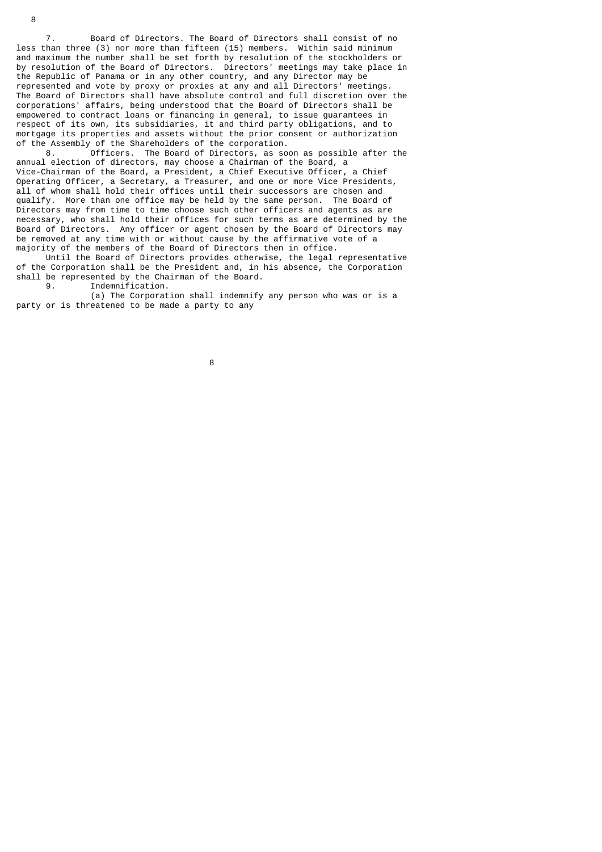7. Board of Directors. The Board of Directors shall consist of no less than three (3) nor more than fifteen (15) members. Within said minimum and maximum the number shall be set forth by resolution of the stockholders or by resolution of the Board of Directors. Directors' meetings may take place in the Republic of Panama or in any other country, and any Director may be represented and vote by proxy or proxies at any and all Directors' meetings. The Board of Directors shall have absolute control and full discretion over the corporations' affairs, being understood that the Board of Directors shall be empowered to contract loans or financing in general, to issue guarantees in respect of its own, its subsidiaries, it and third party obligations, and to mortgage its properties and assets without the prior consent or authorization of the Assembly of the Shareholders of the corporation.<br>8. Officers. The Board of Directors, as so

Officers. The Board of Directors, as soon as possible after the annual election of directors, may choose a Chairman of the Board, a Vice-Chairman of the Board, a President, a Chief Executive Officer, a Chief Operating Officer, a Secretary, a Treasurer, and one or more Vice Presidents, all of whom shall hold their offices until their successors are chosen and qualify. More than one office may be held by the same person. The Board of Directors may from time to time choose such other officers and agents as are necessary, who shall hold their offices for such terms as are determined by the Board of Directors. Any officer or agent chosen by the Board of Directors may be removed at any time with or without cause by the affirmative vote of a majority of the members of the Board of Directors then in office.

 Until the Board of Directors provides otherwise, the legal representative of the Corporation shall be the President and, in his absence, the Corporation shall be represented by the Chairman of the Board.<br>9. Indemnification

Indemnification.

 (a) The Corporation shall indemnify any person who was or is a party or is threatened to be made a party to any

e a construction de la construction de la construction de la construction de la construction de la constructio<br>En 1980, en 1980, en 1980, en 1980, en 1980, en 1980, en 1980, en 1980, en 1980, en 1980, en 1980, en 1980, en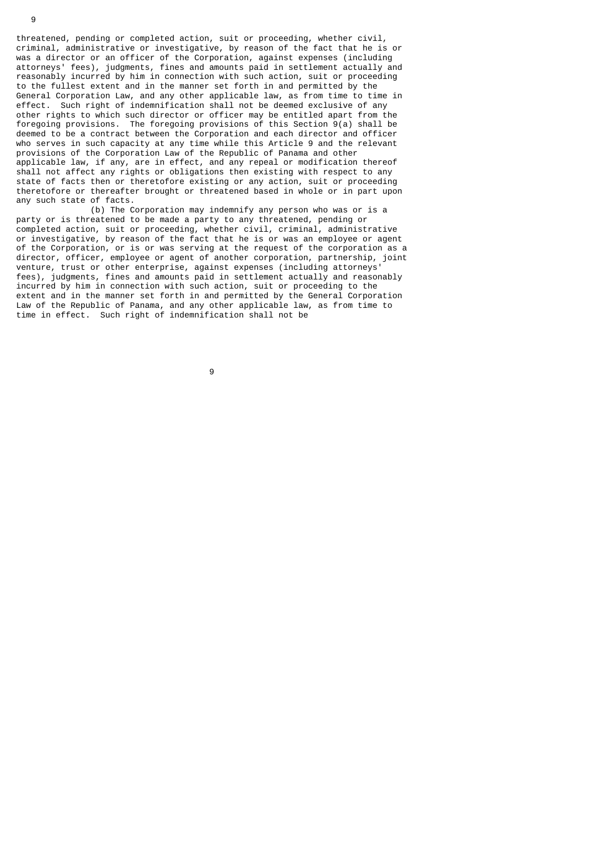threatened, pending or completed action, suit or proceeding, whether civil, criminal, administrative or investigative, by reason of the fact that he is or was a director or an officer of the Corporation, against expenses (including attorneys' fees), judgments, fines and amounts paid in settlement actually and reasonably incurred by him in connection with such action, suit or proceeding to the fullest extent and in the manner set forth in and permitted by the General Corporation Law, and any other applicable law, as from time to time in effect. Such right of indemnification shall not be deemed exclusive of any other rights to which such director or officer may be entitled apart from the foregoing provisions. The foregoing provisions of this Section 9(a) shall be deemed to be a contract between the Corporation and each director and officer who serves in such capacity at any time while this Article 9 and the relevant provisions of the Corporation Law of the Republic of Panama and other applicable law, if any, are in effect, and any repeal or modification thereof shall not affect any rights or obligations then existing with respect to any state of facts then or theretofore existing or any action, suit or proceeding theretofore or thereafter brought or threatened based in whole or in part upon any such state of facts.

 (b) The Corporation may indemnify any person who was or is a party or is threatened to be made a party to any threatened, pending or completed action, suit or proceeding, whether civil, criminal, administrative or investigative, by reason of the fact that he is or was an employee or agent of the Corporation, or is or was serving at the request of the corporation as a director, officer, employee or agent of another corporation, partnership, joint venture, trust or other enterprise, against expenses (including attorneys' fees), judgments, fines and amounts paid in settlement actually and reasonably incurred by him in connection with such action, suit or proceeding to the extent and in the manner set forth in and permitted by the General Corporation Law of the Republic of Panama, and any other applicable law, as from time to time in effect. Such right of indemnification shall not be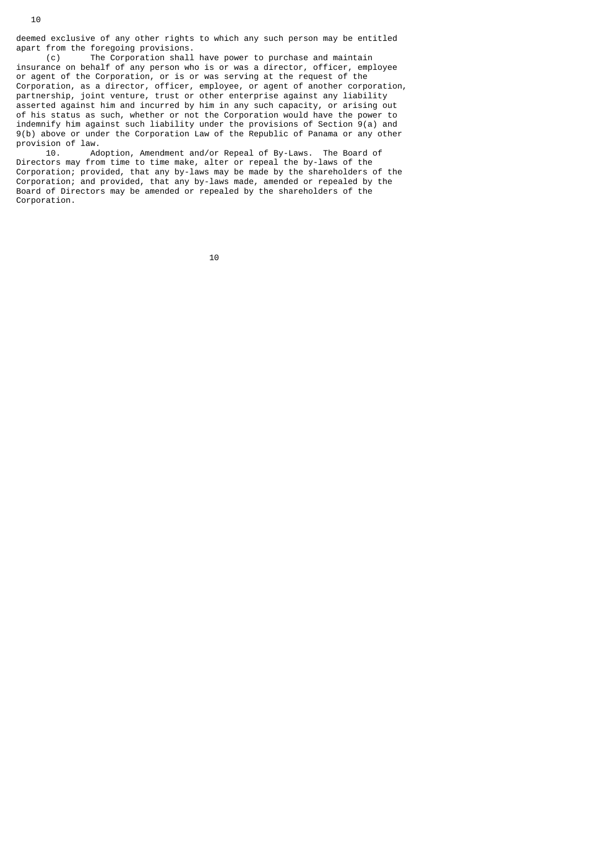deemed exclusive of any other rights to which any such person may be entitled apart from the foregoing provisions.

 (c) The Corporation shall have power to purchase and maintain insurance on behalf of any person who is or was a director, officer, employee or agent of the Corporation, or is or was serving at the request of the Corporation, as a director, officer, employee, or agent of another corporation, partnership, joint venture, trust or other enterprise against any liability asserted against him and incurred by him in any such capacity, or arising out of his status as such, whether or not the Corporation would have the power to indemnify him against such liability under the provisions of Section 9(a) and 9(b) above or under the Corporation Law of the Republic of Panama or any other provision of law.<br>10. Ad

Adoption, Amendment and/or Repeal of By-Laws. The Board of Directors may from time to time make, alter or repeal the by-laws of the Corporation; provided, that any by-laws may be made by the shareholders of the Corporation; and provided, that any by-laws made, amended or repealed by the Board of Directors may be amended or repealed by the shareholders of the Corporation.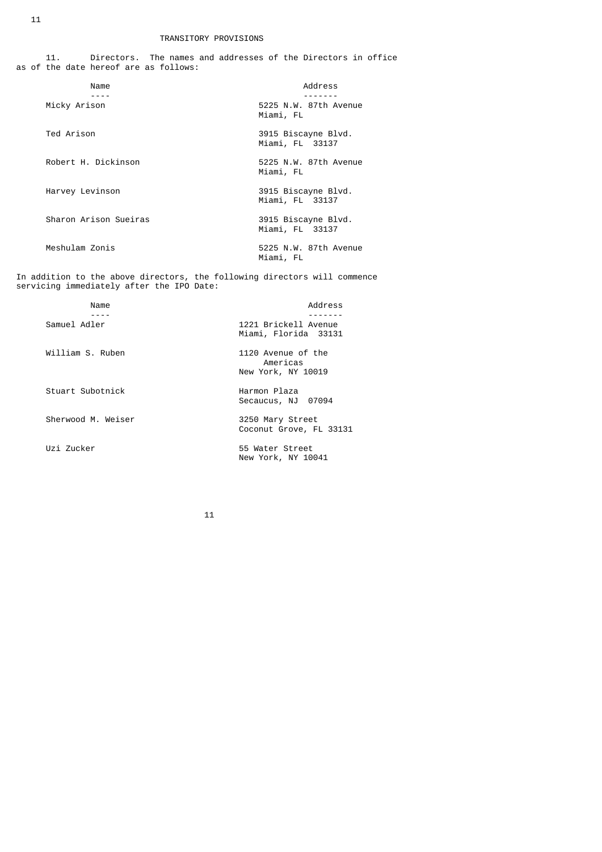|  |                                       | Directors. The names and addresses of the Directors in office |  |  |
|--|---------------------------------------|---------------------------------------------------------------|--|--|
|  | as of the date hereof are as follows: |                                                               |  |  |

| Name                  | Address                                |
|-----------------------|----------------------------------------|
| Micky Arison          | 5225 N.W. 87th Avenue<br>Miami, FL     |
| Ted Arison            | 3915 Biscayne Blvd.<br>Miami, FL 33137 |
| Robert H. Dickinson   | 5225 N.W. 87th Avenue<br>Miami, FL     |
| Harvey Levinson       | 3915 Biscayne Blvd.<br>Miami, FL 33137 |
| Sharon Arison Sueiras | 3915 Biscayne Blvd.<br>Miami, FL 33137 |
| Meshulam Zonis        | 5225 N.W. 87th Avenue<br>Miami, FL     |

In addition to the above directors, the following directors will commence servicing immediately after the IPO Date:

| Name               | Address                                              |
|--------------------|------------------------------------------------------|
| Samuel Adler       | 1221 Brickell Avenue<br>Miami, Florida 33131         |
| William S. Ruben   | 1120 Avenue of the<br>Americas<br>New York, NY 10019 |
| Stuart Subotnick   | Harmon Plaza<br>Secaucus, NJ 07094                   |
| Sherwood M. Weiser | 3250 Mary Street<br>Coconut Grove, FL 33131          |
| Uzi Zucker         | 55 Water Street<br>New York, NY 10041                |
|                    |                                                      |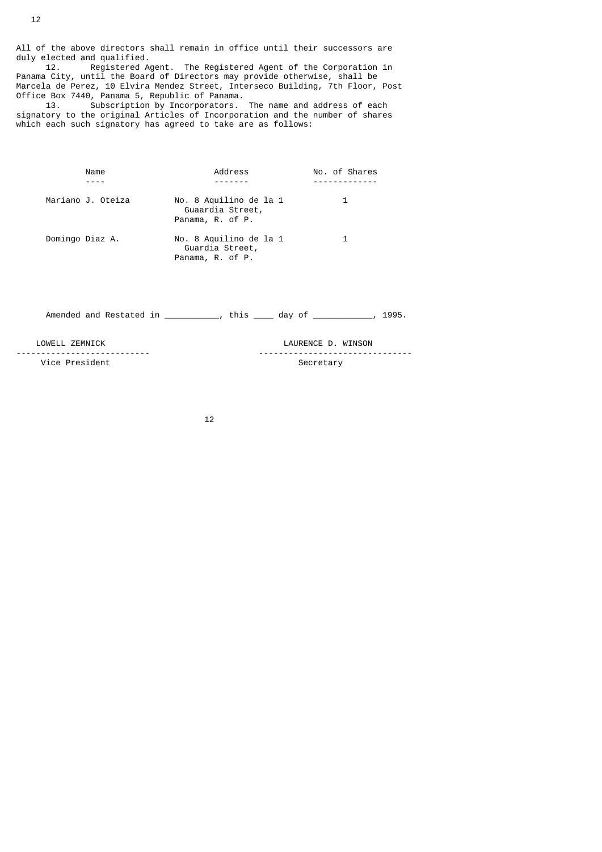All of the above directors shall remain in office until their successors are duly elected and qualified.

 12. Registered Agent. The Registered Agent of the Corporation in Panama City, until the Board of Directors may provide otherwise, shall be Marcela de Perez, 10 Elvira Mendez Street, Interseco Building, 7th Floor, Post Office Box 7440, Panama 5, Republic of Panama.

 13. Subscription by Incorporators. The name and address of each signatory to the original Articles of Incorporation and the number of shares which each such signatory has agreed to take are as follows:

| Name              | Address                                                        | No. of Shares |
|-------------------|----------------------------------------------------------------|---------------|
|                   |                                                                |               |
| Mariano J. Oteiza | No. 8 Aquilino de la 1<br>Guaardia Street,<br>Panama, R. of P. |               |
| Domingo Diaz A.   | No. 8 Aquilino de la 1<br>Guardia Street,<br>Panama, R. of P.  |               |

Amended and Restated in \_\_\_\_\_\_\_\_\_\_, this \_\_\_\_ day of \_\_\_\_\_\_\_\_\_\_\_, 1995.

 LOWELL ZEMNICK LAURENCE D. WINSON --------------------------- ------------------------------- Vice President and Secretary Secretary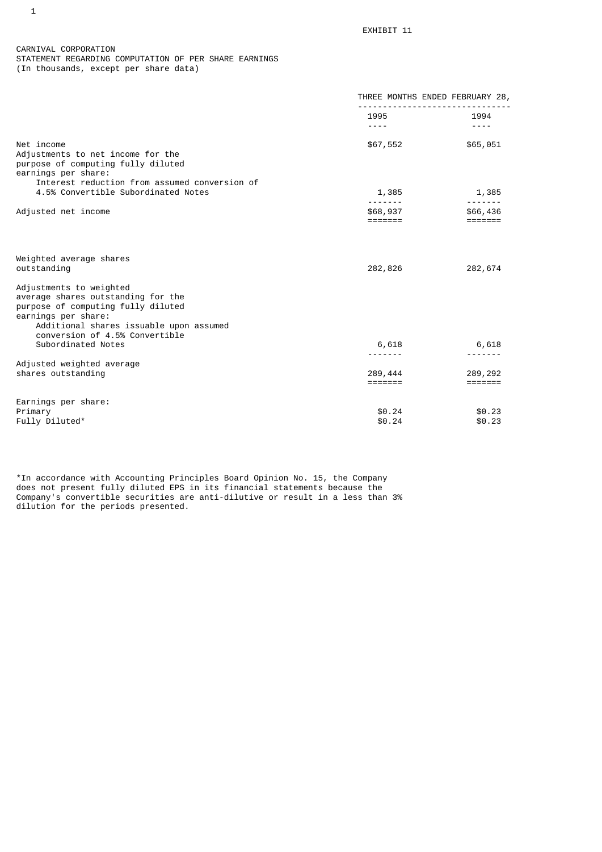CARNIVAL CORPORATION STATEMENT REGARDING COMPUTATION OF PER SHARE EARNINGS (In thousands, except per share data)

|                                                                                                                                                                                                         | THREE MONTHS ENDED FEBRUARY 28,                                                                              |                                         |
|---------------------------------------------------------------------------------------------------------------------------------------------------------------------------------------------------------|--------------------------------------------------------------------------------------------------------------|-----------------------------------------|
|                                                                                                                                                                                                         | 1995 — 1995 — 1996 — 1996 — 1997 — 1997 — 1998 — 1998 — 1998 — 1998 — 1998 — 1998 — 1998 — 1998 — 1998 — 199 | 1994                                    |
|                                                                                                                                                                                                         | $\frac{1}{2} \frac{1}{2} \frac{1}{2} \frac{1}{2} \frac{1}{2} \frac{1}{2} \frac{1}{2} \frac{1}{2}$            | $- - - -$                               |
| Net income<br>Adjustments to net income for the<br>purpose of computing fully diluted<br>earnings per share:                                                                                            | \$67,552                                                                                                     | \$65,051                                |
| Interest reduction from assumed conversion of                                                                                                                                                           |                                                                                                              |                                         |
| 4.5% Convertible Subordinated Notes                                                                                                                                                                     | 1,385<br><u>.</u>                                                                                            | 1,385                                   |
| Adjusted net income                                                                                                                                                                                     | \$68,937<br>=======                                                                                          | \$66,436<br>$=$ $=$ $=$ $=$ $=$ $=$ $=$ |
| Weighted average shares                                                                                                                                                                                 |                                                                                                              |                                         |
| outstanding                                                                                                                                                                                             | 282,826                                                                                                      | 282,674                                 |
| Adjustments to weighted<br>average shares outstanding for the<br>purpose of computing fully diluted<br>earnings per share:<br>Additional shares issuable upon assumed<br>conversion of 4.5% Convertible |                                                                                                              |                                         |
| Subordinated Notes                                                                                                                                                                                      | 6,618                                                                                                        | 6,618                                   |
| Adjusted weighted average<br>shares outstanding                                                                                                                                                         | - - - - - - -<br>289,444<br>$=$ $=$ $=$ $=$ $=$ $=$ $=$                                                      | 289,292<br>=======                      |
|                                                                                                                                                                                                         |                                                                                                              |                                         |
| Earnings per share:<br>Primary<br>Fully Diluted*                                                                                                                                                        | \$0.24<br>\$0.24                                                                                             | \$0.23<br>\$0.23                        |

\*In accordance with Accounting Principles Board Opinion No. 15, the Company does not present fully diluted EPS in its financial statements because the Company's convertible securities are anti-dilutive or result in a less than 3% dilution for the periods presented.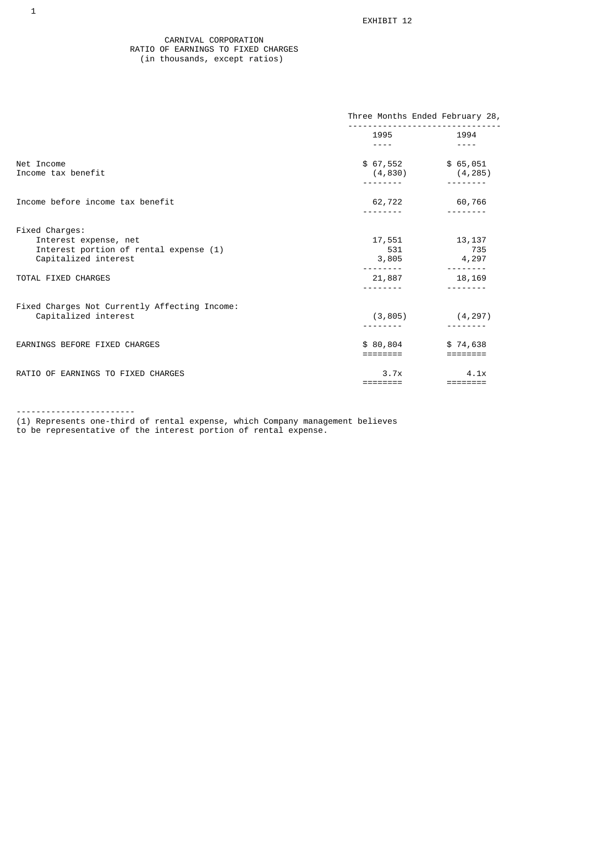### CARNIVAL CORPORATION RATIO OF EARNINGS TO FIXED CHARGES (in thousands, except ratios)

|                                                                 | Three Months Ended February 28, |                                 |
|-----------------------------------------------------------------|---------------------------------|---------------------------------|
|                                                                 | 1995 1994                       |                                 |
|                                                                 | ----                            | $- - - -$                       |
| Net Income<br>Income tax benefit                                | \$67,552 \$65,051<br>(4, 830)   | (4, 285)                        |
|                                                                 |                                 |                                 |
| Income before income tax benefit                                |                                 | 62,722 60,766                   |
|                                                                 |                                 |                                 |
| Fixed Charges:                                                  |                                 |                                 |
| Interest expense, net<br>Interest portion of rental expense (1) | 17,551<br>531                   | 13,137<br>735                   |
| Capitalized interest                                            | 3,805                           | 4,297                           |
| TOTAL FIXED CHARGES                                             | 21,887                          | 18,169                          |
|                                                                 |                                 |                                 |
| Fixed Charges Not Currently Affecting Income:                   |                                 |                                 |
| Capitalized interest                                            | (3, 805)                        | (4, 297)                        |
| EARNINGS BEFORE FIXED CHARGES                                   | \$80,804                        | \$74,638                        |
|                                                                 | ========                        |                                 |
| RATIO OF EARNINGS TO FIXED CHARGES                              | 3.7x                            | 4.1x                            |
|                                                                 | ========                        | $=$ $=$ $=$ $=$ $=$ $=$ $=$ $=$ |

------------------------

(1) Represents one-third of rental expense, which Company management believes to be representative of the interest portion of rental expense.